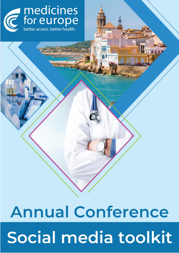

# **Annual Conference** Social media toolkit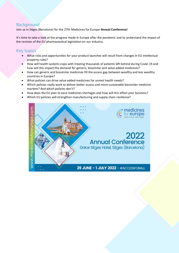#### **Background**

Join us in Sitges (Barcelona) for the 27th Medicines for Europe **Annual Conference**!

It's time to take a look at the progress made in Europe after the pandemic and to understand the impact of the revision of the EU pharmaceutical legislation on our industry.

#### Key topics

- What risks and opportunities for your product launches will result from changes in EU intellectual property rules?
- How will health systems cope with treating thousands of patients left behind during Covid-19 and how will this impact the demand for generic, biosimilar and value added medicines?
- How can generic and biosimilar medicines fill the access gap between wealthy and less wealthy countries in Europe?
- What policies can drive value added medicines for unmet health needs?
- Which policies really work to deliver better access and more sustainable biosimilar medicine markets? And which policies don't?
- How does the EU plan to ease medicines shortages and how will this affect your business?
- Which EU policies will strengthen manufacturing and supply chain resilience?

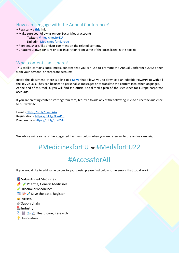#### How can I engage with the Annual Conference?

- Register via **[this](https://www.medicinesforeurope.com/events2022/annual2022/annual2022reg.htm)** link
- Make sure you follow us on our Social Media accounts.

Twitter: [@medicinesforEU](https://twitter.com/medicinesforEU) LinkedIn: [Medicines for Europe](https://www.linkedin.com/company/medicines-for-europe/)

- Retweet, share, like and/or comment on the related content.
- Create your own content or take inspiration from some of the posts listed in this toolkit

#### What content can I share?

This toolkit contains social media content that you can use to promote the Annual Conference 2022 either from your personal or corporate accounts.

Inside this document, there is a link to a **[Drive](https://1drv.ms/u/s!AiQv0IrftnJmgh1Sh3oYFlK19h8S?e=No98XB)** that allows you to download an editable PowerPoint with all the key visuals. They can be used to personalise messages or to translate the content into other languages. At the end of this toolkit, you will find the official social media plan of the Medicines for Europe corporate accounts.

If you are creating content starting from zero, feel free to add any of the following links to direct the audience to our website.

Event - <https://bit.ly/3ywTAAx> Registration - <https://bit.ly/3FkAPld> Programme – <https://bit.ly/3L20S1s>

We advise using some of the suggested hashtags below when you are referring to the online campaign:

### #MedicinesforEU or #MedsforEU22

### #AccessforAll

If you would like to add some colour to your posts, please find below some emojis that could work:

**E** Value Added Medicines **P**  $\rightarrow$  Pharma, Generic Medicines Biosimilar Medicines  $\mathbb{R}$  Save the date, Register  $\bigcap$  Access  $\mathscr O$  Supply chain **industry**  $\mathbb{Q}_p$   $\Box$   $\Diamond$  Healthcare, Research **Innovation**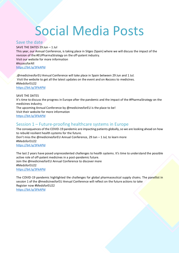### Social Media Posts

#### Save the date

SAVE THE DATES 29 Jun – 1 Jul This year, our Annual Conference, is taking place in Sitges (Spain) where we will discuss the impact of the revision of the #EUPharmaStrategy on the off-patent industry. Visit our website for more information #AccessforAll <https://bit.ly/3FkAPld>

.@medicinesforEU Annual Conference will take place in Spain between 29 Jun and 1 Jul. Visit the website to get all the latest updates on the event and on #access to medicines. #MedsforEU22 <https://bit.ly/3FkAPld>

SAVE THE DATES It's time to discuss the progress in Europe after the pandemic and the impact of the #PharmaStrategy on the medicines industry. The upcoming Annual Conference by @medicinesforEU is the place to be! Visit their website for more information <https://bit.ly/3FkAPld>

#### Session 1 – Future-proofing healthcare systems in Europe

The consequences of the COVID-19 pandemic are impacting patients globally, so we are looking ahead on how to rebuild resilient health systems for the future. Don't miss the @medicinesforEU Annual Conference, 29 Jun – 1 Jul, to learn more #MedsforEU22 <https://bit.ly/3FkAPld>

The last 2 years have posed unprecedented challenges to health systems. It's time to understand the possible active role of off-patent medicines in a post-pandemic future. Join the @medicinesforEU Annual Conference to discover more #MedsforEU22 <https://bit.ly/3FkAPld>

The COVID-19 pandemic highlighted the challenges for global pharmaceutical supply chains. The panellist in session 1 of the @medicinesforEU Annual Conference will reflect on the future actions to take Register now #MedsforEU22 <https://bit.ly/3FkAPld>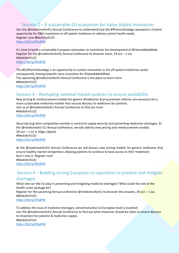#### Session 2 – A sustainable EU ecosystem for Value Added Innovation

Join the @medicinesforEU Annual Conference to understand how the #PharmaStrategy represents a historic opportunity for R&D investment in off-patent medicines to address unmet health needs. Register now #MedsforEU22 <https://bit.ly/3FkAPld>

It's time to build a sustainable European ecosystem to incentivise the development of #ValueAddedMeds. Register for the @medicinesforEU Annual Conference to discover more, 29 Jun – 1 Jul: #MedsforEU22 <https://bit.ly/3FkAPld>

The #EUPharmaStrategy is an opportunity to sustain innovation in the off-patent medicines sector, consequently moving towards more incentives for #ValueAddedMeds. The upcoming @medicinesforEU Annual Conference is the place to learn more #MedsforEU22 <https://bit.ly/3FkAPld>

#### Session 3 – Reshaping national market policies to ensure availability

New pricing & reimbursement models for generic #medicines & procurement reforms are necessary for a more sustainable medicines market that secures #access to medicines for patients. Join us at @medicinesforEU Annual Conference to find out more #MedsforEU22 <https://bit.ly/3FkAPld>

Securing long-term competitive markets is central to supply security and preventing medicines shortages. At the @medicinesfor EU Annual conference, we will address new pricing and reimbursement models. 29 Jun – 1 Jul in Sitges (Spain) #MedsforEU22 <https://bit.ly/3FkAPld>

At the @medicinesforEU Annual Conference we will discuss new pricing models for generic medicines that ensure healthy market competition allowing patients to continue to have access to their treatment. Don't miss it. Register now! #MedsforEU22 <https://bit.ly/3FkAPld>

#### Session 4 – Building strong European co-operation to prevent and mitigate

#### shortages

What role can the EU play in preventing and mitigating medicine shortages? What could the role of the health union package be? Register for the upcoming Annual conference @medicinesforEU to discover the answers,  $29 \text{ Jun} - 1 \text{ Jul}$ , #MedsforEU22 <https://bit.ly/3FkAPld>

To address the issue of medicine shortages, concerted action at European level is essential. Join the @medicinesforEU Annual Conference to find out what measures should be taken to ensure #access to treatment for patients & medicines supply. #MedsforEU22 <https://bit.ly/3FkAPld>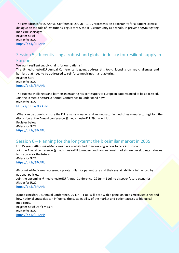The @medicinesforEU Annual Conference, 29 Jun – 1 Jul, represents an opportunity for a patient-centric dialogue on the role of institutions, regulators & the HTC community as a whole, in preventing&mitigating medicine shortages. Register now!

#MedsforEU22 <https://bit.ly/3FkAPld>

#### Session 5 – Incentivising a robust and global industry for resilient supply in

#### Europe

We want resilient supply chains for our patients!

The @medicinesforEU Annual Conference is going address this topic, focusing on key challenges and barriers that need to be addressed to reinforce medicines manufacturing. Register here #MedsforEU22 <https://bit.ly/3FkAPld>

The current challenges and barriers in ensuring resilient supply to European patients need to be addressed. Join the @medicinesforEU Annual Conference to understand how #MedsforEU22 <https://bit.ly/3FkAPld>

What can be done to ensure the EU remains a leader and an innovator in medicines manufacturing? Join the discussion at the Annual conference @medicinesforEU, 29 Jun – 1 Jul. Register below #MedsforEU22 <https://bit.ly/3FkAPld>

#### Session 6 – Planning for the long-term: the biosimilar market in 2035

For 15 years, #BiosimilarMedicines have contributed to increasing access to care in Europe. Join the Annual conference @medicinesforEU to understand how national markets are developing strategies to prepare for the future. #MedsforEU22 <https://bit.ly/3FkAPld>

#BiosimilarMedicines represent a pivotal pillar for patient care and their sustainability is influenced by national policies. Join the upcoming @medicinesforEU Annual Conference, 29 Jun – 1 Jul, to discover future scenarios. #MedsforEU22 <https://bit.ly/3FkAPld>

@medicinesforEU's Annual Conference, 29 Jun – 1 Jul, will close with a panel on #BiosimilarMedicines and how national strategies can influence the sustainability of the market and patient access to biological medicines. Register now! Don't miss it. #MedsforEU22 <https://bit.ly/3FkAPld>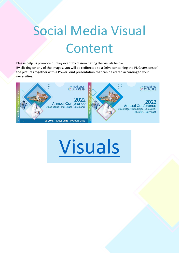## Social Media Visual Content

Please help us promote our key event by disseminating the visuals below. By clicking on any of the images, you will be redirected to a Drive containing the PNG versions of the pictures together with a PowerPoint presentation that can be edited according to your necessities.



# [Visuals](https://1drv.ms/u/s!AiQv0IrftnJmgh1Sh3oYFlK19h8S?e=No98XB)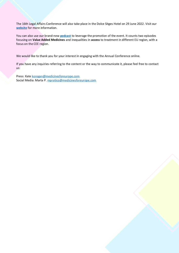The 16th Legal Affairs Conference will also take place in the Dolce Sitges Hotel on 29 June 2022. Visit our **[website](https://www.medicinesforeurope.com/events/lac2022/)** for more information.

You can also use our brand-new **[podcast](https://www.medicinesforeurope.com/podcast/)** to leverage the promotion of the event. It counts two episodes focusing on **Value Added Medicines** and inequalities in **access** to treatment in different EU region, with a focus on the CEE region.

We would like to thank you for your interest in engaging with the Annual Conference online.

If you have any inquiries referring to the content or the way to communicate it, please feel free to contact us:

Press: Kat[e koregan@medicinesforeurope.com](mailto:koregan@medicinesforeurope.com) Social Media: Marta P. [mpratico@medicinesforeurope.com](mailto:mpratico@medicinesforeurope.com)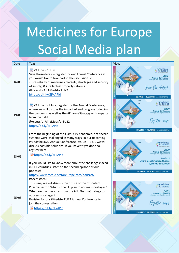## Medicines for Europe Social Media plan

| Date  | Text                                                                                                                                                                                                                                                                                                                                                                                                                                                                                 | Visual |                                                                                                                                                                           |
|-------|--------------------------------------------------------------------------------------------------------------------------------------------------------------------------------------------------------------------------------------------------------------------------------------------------------------------------------------------------------------------------------------------------------------------------------------------------------------------------------------|--------|---------------------------------------------------------------------------------------------------------------------------------------------------------------------------|
| 16/05 | $\boxed{iii}$ 29 June - 1 July<br>Save these dates & register for our Annual Conference if<br>you would like to take part in the discussion on<br>sustainability of medicines markets, shortages and security<br>of supply, & intellectual property reforms<br>#AccessforAll #MedsforEU22<br>https://bit.ly/3FkAPld                                                                                                                                                                  |        | medicines<br>for europe<br><b>Annual Conference</b><br>Save the dates!<br>29 JUNE - 1 JULY 2022 - #ACCESSFORALL                                                           |
| 19/05 | [11] 29 June to 1 July, register for the Annual Conference,<br>where we will discuss the impact of and progress following<br>the pandemic as well as the #PharmaStrategy with experts<br>from the field.<br>#AccessforAll #MedsforEU22<br>https://bit.ly/3FkAPld                                                                                                                                                                                                                     |        | medicines<br>or <b>europe</b><br><b>Annual Conference</b><br>Kegistev now!<br><b>29 JUNE - 1 JULY 2022 - #ACCESSFORAL</b>                                                 |
| 23/05 | From the beginning of the COVID-19 pandemic, healthcare<br>systems were challenged in many ways. In our upcoming<br>#MedsforEU22 Annual Conference, 29 Jun - 1 Jul, we will<br>discuss possible solutions. If you haven't yet done so,<br>register here:<br>https://bit.ly/3FkAPld<br>If you would like to know more about the challenges faced<br>in CEE countries, listen to the second episode of our<br>podcast!<br>https://www.medicinesforeurope.com/podcast/<br>#AccessforAll |        | medicines<br>or europe<br><b>Annual Conference</b><br><b>Session 1</b><br><b>Future-proofing healthcare</b><br>systems in Europe<br>29 JUNE - 1 JULY 2022 - #ACCESSFORALL |
| 25/05 | This June, we will discuss the future of the off-patent<br>Pharma sector. What is the EU plan to address shortages?<br>What are the measures from the #EUPharmaStrategy to<br>address shortages?<br>Register for our #MedsforEU22 Annual Conference to<br>join the conversation<br>https://bit.ly/3FkAPld                                                                                                                                                                            |        | <b>medicines</b><br>for <b>europe</b><br><b>Annual Conference</b><br>egister now!<br>29 JUNE - 1 JULY 2022 - #ACCESSFORALI                                                |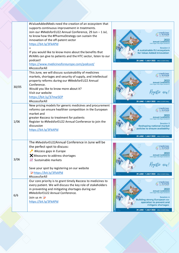|       | #ValueAddedMeds need the creation of an ecosystem that<br>supports continuous improvement in treatments.<br>Join our #MedsforEU22 Annual Conference, 29 Jun - 1 Jul,<br>to know how the #PharmaStrategy can sustain the<br>innovation of the off-patent sector<br>https://bit.ly/3FkAPld<br>If you would like to know more about the benefits that<br>#VAMs can give to patients and the HTC sector, listen to our<br>podcast!<br>https://www.medicinesforeurope.com/podcast/<br>#AccessforAll | medicines<br>for europe<br><b>Annual Conference</b><br>Dolce Sitges Hotel, Sitges (Bare<br><b>Session 2</b><br>A sustainable EU ecosystem<br>for Value Added Innovation<br>29 JUNE - 1 JULY 2022 - #ACCESSFORALL                                                               |
|-------|------------------------------------------------------------------------------------------------------------------------------------------------------------------------------------------------------------------------------------------------------------------------------------------------------------------------------------------------------------------------------------------------------------------------------------------------------------------------------------------------|--------------------------------------------------------------------------------------------------------------------------------------------------------------------------------------------------------------------------------------------------------------------------------|
| 30/05 | This June, we will discuss sustainability of medicines<br>markets, shortages and security of supply, and intellectual<br>property reforms during our #MedsforEU22 Annual<br>Conference.<br>Would you like to know more about it?<br>Visit our website<br>https://bit.ly/37me5EP<br>#AccessforAll                                                                                                                                                                                               | medicines<br>or europe<br><b>Annual Conference</b><br>Dolce Sitces Hotel Sitces (Barce<br>er now!<br>29 JUNE - 1 JULY 2022 - #ACCESSFORAL                                                                                                                                      |
| 1/06  | New pricing models for generic medicines and procurement<br>reforms can ensure healthier competition in the European<br>market and<br>greater #access to treatment for patients<br>Register to #MedsforEU22 Annual Conference to join the<br>discussion<br>https://bit.ly/3FkAPld                                                                                                                                                                                                              | <b>medicines</b><br>for <b>europe</b><br><b>Annual Conference</b><br><b>Session 3</b><br><b>Reshaping national market</b><br>policies to ensure availability<br>29 JUNE - 1 JULY 2022 - #ACCESSFORALL                                                                          |
| 3/06  | The #MedsforEU22Annual Conference in June will be<br>the perfect spot to discuss:<br>#Access gaps in Europe<br>$\times$ Measures to address shortages<br>Sustainable markets<br>Save your spot by registering on our website<br>https://bit.ly/3FkAPld<br>#AccessforAll                                                                                                                                                                                                                        | nedicines<br>or europe<br>2022<br><b>Annual Conference</b><br>Dolce Sitges Hotel, Sitges (Barcelona<br>Kegistev now!<br>29 JUNE - 1 JULY 2022 - #ACCESSFORALL                                                                                                                  |
| 6/6   | Our core priority is to grant timely #access to medicines to<br>every patient. We will discuss the key role of stakeholders<br>in preventing and mitigating shortages during our<br>#MedsforEU22 Annual Conference.<br>Join us m<br>https://bit.ly/3FkAPld                                                                                                                                                                                                                                     | medicines<br>for europe<br>2022<br><b>Annual Conference</b><br><b>Dolce Sitges Hotel, Sitges (Bard</b><br><b>Session 4</b><br><b>Building strong European co-</b><br>operation to prevent and<br>mitigate shortages<br>$\mathbb{R}^2$<br>29 JUNE - 1 JULY 2022 - #ACCESSFORALL |